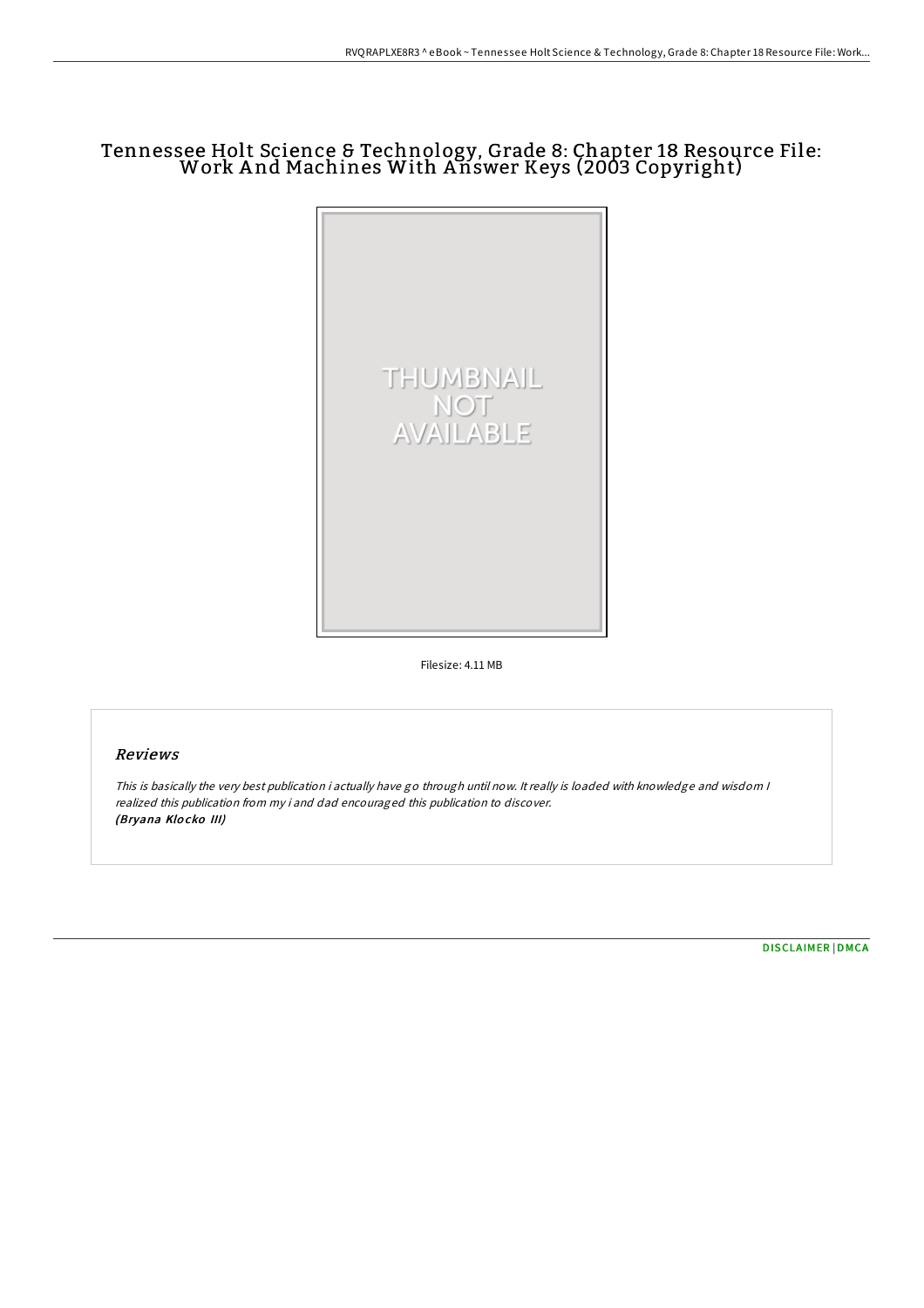## Tennessee Holt Science & Technology, Grade 8: Chapter 18 Resource File: Work A nd Machines With A nswer Keys (2003 Copyright)



Filesize: 4.11 MB

## Reviews

This is basically the very best publication i actually have go through until now. It really is loaded with knowledge and wisdom I realized this publication from my i and dad encouraged this publication to discover. (Bryana Klo cko III)

[DISCLAIMER](http://almighty24.tech/disclaimer.html) | [DMCA](http://almighty24.tech/dmca.html)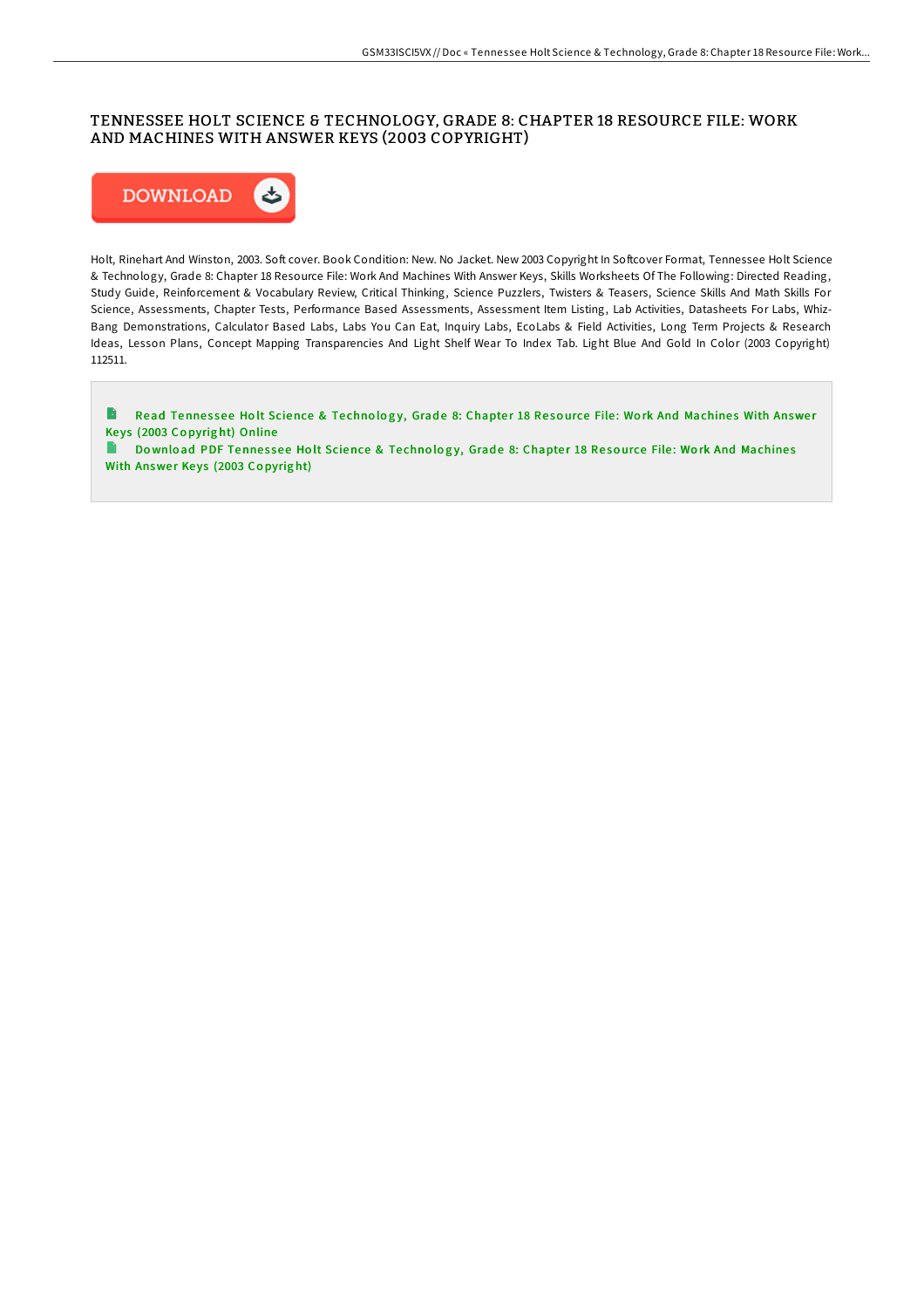## TENNESSEE HOLT SCIENCE & TECHNOLOGY, GRADE 8: CHAPTER 18 RESOURCE FILE: WORK AND MACHINES WITH ANSWER KEYS (2003 COPYRIGHT)



Holt, Rinehart And Winston, 2003. Soft cover. Book Condition: New. No Jacket. New 2003 Copyright In Softcover Format, Tennessee Holt Science & Technology, Grade 8: Chapter 18 Resource File: Work And Machines With Answer Keys, Skills Worksheets Of The Following: Directed Reading, Study Guide, Reinforcement & Vocabulary Review, Critical Thinking, Science Puzzlers, Twisters & Teasers, Science Skills And Math Skills For Science, Assessments, Chapter Tests, Performance Based Assessments, Assessment Item Listing, Lab Activities, Datasheets For Labs, Whiz-Bang Demonstrations, Calculator Based Labs, Labs You Can Eat, Inquiry Labs, EcoLabs & Field Activities, Long Term Projects & Research Ideas, Lesson Plans, Concept Mapping Transparencies And Light Shelf Wear To Index Tab. Light Blue And Gold In Color (2003 Copyright) 112511.